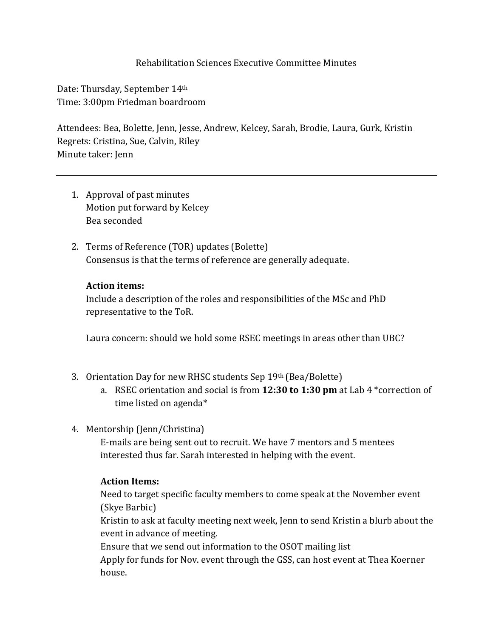## Rehabilitation Sciences Executive Committee Minutes

Date: Thursday, September 14th Time: 3:00pm Friedman boardroom

Attendees: Bea, Bolette, Jenn, Jesse, Andrew, Kelcey, Sarah, Brodie, Laura, Gurk, Kristin Regrets: Cristina, Sue, Calvin, Riley Minute taker: Jenn

- 1. Approval of past minutes Motion put forward by Kelcey Bea seconded
- 2. Terms of Reference (TOR) updates (Bolette) Consensus is that the terms of reference are generally adequate.

## **Action items:**

Include a description of the roles and responsibilities of the MSc and PhD representative to the ToR.

Laura concern: should we hold some RSEC meetings in areas other than UBC?

- 3. Orientation Day for new RHSC students Sep 19th (Bea/Bolette)
	- a. RSEC orientation and social is from **12:30 to 1:30 pm** at Lab 4 \*correction of time listed on agenda\*
- 4. Mentorship (Jenn/Christina)

E-mails are being sent out to recruit. We have 7 mentors and 5 mentees interested thus far. Sarah interested in helping with the event.

#### **Action Items:**

Need to target specific faculty members to come speak at the November event (Skye Barbic)

Kristin to ask at faculty meeting next week, Jenn to send Kristin a blurb about the event in advance of meeting.

Ensure that we send out information to the OSOT mailing list Apply for funds for Nov. event through the GSS, can host event at Thea Koerner house.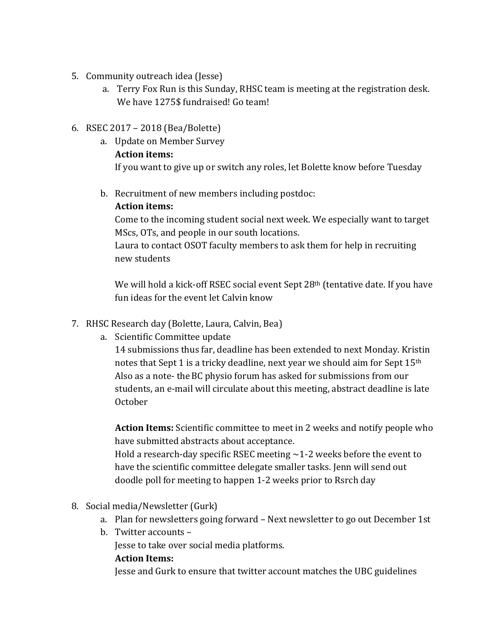- 5. Community outreach idea (Jesse)
	- a. Terry Fox Run is this Sunday, RHSC team is meeting at the registration desk. We have 1275\$ fundraised! Go team!
- 6. RSEC 2017 2018 (Bea/Bolette)
	- a. Update on Member Survey

# **Action items:**

If you want to give up or switch any roles, let Bolette know before Tuesday

b. Recruitment of new members including postdoc:

## **Action items:**

Come to the incoming student social next week. We especially want to target MScs, OTs, and people in our south locations.

Laura to contact OSOT faculty members to ask them for help in recruiting new students

We will hold a kick-off RSEC social event Sept 28<sup>th</sup> (tentative date. If you have fun ideas for the event let Calvin know

- 7. RHSC Research day (Bolette, Laura, Calvin, Bea)
	- a. Scientific Committee update

14 submissions thus far, deadline has been extended to next Monday. Kristin notes that Sept 1 is a tricky deadline, next year we should aim for Sept 15<sup>th</sup> Also as a note- the BC physio forum has asked for submissions from our students, an e-mail will circulate about this meeting, abstract deadline is late October

**Action Items:** Scientific committee to meet in 2 weeks and notify people who have submitted abstracts about acceptance.

Hold a research-day specific RSEC meeting  $\sim$  1-2 weeks before the event to have the scientific committee delegate smaller tasks. Jenn will send out doodle poll for meeting to happen 1-2 weeks prior to Rsrch day

- 8. Social media/Newsletter (Gurk)
	- a. Plan for newsletters going forward Next newsletter to go out December 1st
	- b. Twitter accounts –

Jesse to take over social media platforms.

#### **Action Items:**

Jesse and Gurk to ensure that twitter account matches the UBC guidelines